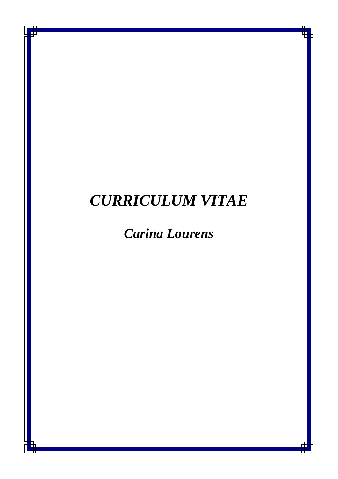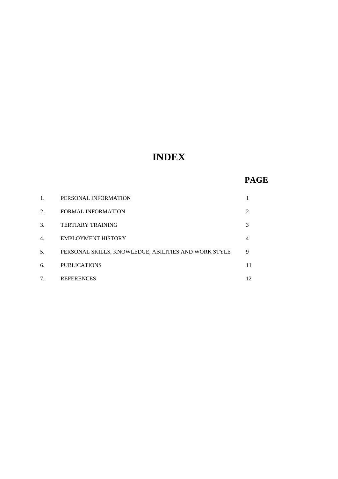# **INDEX**

# **PAGE**

| 1. | PERSONAL INFORMATION                                 |                |
|----|------------------------------------------------------|----------------|
| 2. | <b>FORMAL INFORMATION</b>                            | $\mathfrak{D}$ |
| 3. | <b>TERTIARY TRAINING</b>                             | 3              |
| 4. | <b>EMPLOYMENT HISTORY</b>                            | 4              |
| 5. | PERSONAL SKILLS, KNOWLEDGE, ABILITIES AND WORK STYLE | 9              |
| 6. | <b>PUBLICATIONS</b>                                  | 11             |
|    | <b>REFERENCES</b>                                    | 12             |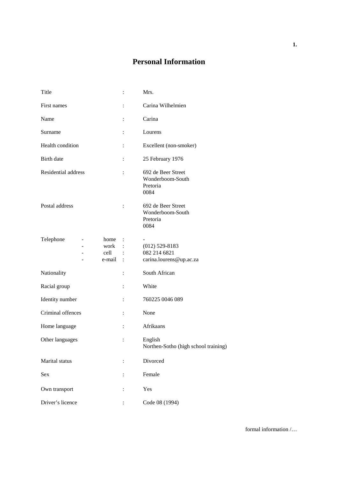# **Personal Information**

| Title                                     | $\ddot{\cdot}$       | Mrs.                                                        |
|-------------------------------------------|----------------------|-------------------------------------------------------------|
| First names                               | $\ddot{\cdot}$       | Carina Wilhelmien                                           |
| Name                                      | $\ddot{\cdot}$       | Carina                                                      |
| Surname                                   | $\ddot{\cdot}$       | Lourens                                                     |
| Health condition                          | $\ddot{\cdot}$       | Excellent (non-smoker)                                      |
| Birth date                                | $\ddot{\cdot}$       | 25 February 1976                                            |
| Residential address                       | $\ddot{\phantom{a}}$ | 692 de Beer Street<br>Wonderboom-South<br>Pretoria<br>0084  |
| Postal address                            | $\ddot{\cdot}$       | 692 de Beer Street<br>Wonderboom-South<br>Pretoria<br>0084  |
| Telephone<br>home :<br>cell :<br>e-mail : | work :               | $(012)$ 529-8183<br>082 214 6821<br>carina.lourens@up.ac.za |
| Nationality                               | $\ddot{\cdot}$       | South African                                               |
| Racial group                              | $\ddot{\cdot}$       | White                                                       |
| Identity number                           | $\ddot{\cdot}$       | 760225 0046 089                                             |
| Criminal offences                         | $\ddot{\cdot}$       | None                                                        |
| Home language                             | $\ddot{\cdot}$       | Afrikaans                                                   |
| Other languages                           | :                    | English<br>Northen-Sotho (high school training)             |
| Marital status                            |                      | Divorced                                                    |
| Sex                                       | $\ddot{\phantom{a}}$ | Female                                                      |
| Own transport                             | $\ddot{\cdot}$       | Yes                                                         |
| Driver's licence                          |                      | Code 08 (1994)                                              |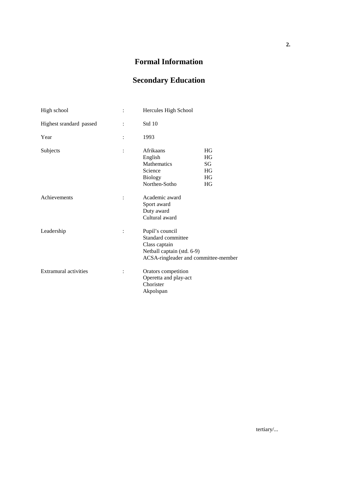# **Formal Information**

# **Secondary Education**

| High school             | Hercules High School                                                                                                         |                                                |
|-------------------------|------------------------------------------------------------------------------------------------------------------------------|------------------------------------------------|
| Highest srandard passed | Std 10                                                                                                                       |                                                |
| Year                    | 1993                                                                                                                         |                                                |
| Subjects                | Afrikaans<br>English<br>Mathematics<br>Science<br><b>Biology</b><br>Northen-Sotho                                            | HG<br><b>HG</b><br>SG<br>HG<br>HG<br><b>HG</b> |
| Achievements            | Academic award<br>Sport award<br>Duty award<br>Cultural award                                                                |                                                |
| Leadership              | Pupil's council<br>Standard committee<br>Class captain<br>Netball captain (std. 6-9)<br>ACSA-ringleader and committee-member |                                                |
| Extramural activities   | Orators competition<br>Operetta and play-act<br>Chorister<br>Akpolspan                                                       |                                                |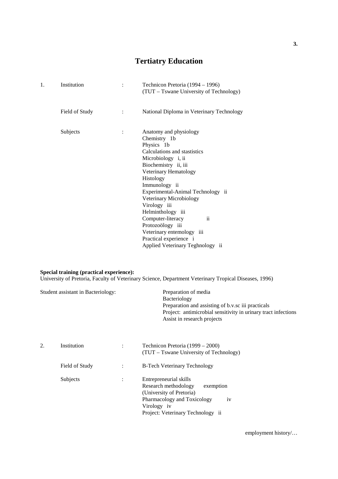# **Tertiatry Education**

| 1. | Institution    | Technicon Pretoria (1994 – 1996)<br>(TUT – Tswane University of Technology)                                                                                                                                                                                                                                                                                                                                               |
|----|----------------|---------------------------------------------------------------------------------------------------------------------------------------------------------------------------------------------------------------------------------------------------------------------------------------------------------------------------------------------------------------------------------------------------------------------------|
|    | Field of Study | National Diploma in Veterinary Technology                                                                                                                                                                                                                                                                                                                                                                                 |
|    | Subjects       | Anatomy and physiology<br>Chemistry 1b<br>Physics 1b<br>Calculations and stastistics<br>Microbiology i, ii<br>Biochemistry ii, iii<br>Veterinary Hematology<br>Histology<br>Immunology ii<br>Experimental-Animal Technology ii<br>Veterinary Microbiology<br>Virology iii<br>Helminthology iii<br>Computer-literacy<br>$\overline{\mathbf{u}}$<br>Protozoölogy iii<br>Veterinary entemology iii<br>Practical experience i |
|    |                | Applied Veterinary Teghnology ii                                                                                                                                                                                                                                                                                                                                                                                          |

#### **Special training (practical experience):**

University of Pretoria, Faculty of Veterinary Science, Department Veterinary Tropical Diseases, 1996)

| Student assistant in Bacteriology: | Preparation of media<br>Bacteriology<br>Preparation and assisting of b.v.sc iii practicals<br>Project: antimicrobial sensitivity in urinary tract infections<br>Assist in research projects |
|------------------------------------|---------------------------------------------------------------------------------------------------------------------------------------------------------------------------------------------|
|                                    |                                                                                                                                                                                             |

| 2. | Institution    |                | Technicon Pretoria (1999 – 2000)<br>(TUT – Tswane University of Technology)                                                                                                      |
|----|----------------|----------------|----------------------------------------------------------------------------------------------------------------------------------------------------------------------------------|
|    | Field of Study | $\ddot{\cdot}$ | <b>B-Tech Veterinary Technology</b>                                                                                                                                              |
|    | Subjects       | ٠              | Entrepreneurial skills<br>Research methodology<br>exemption<br>(University of Pretoria)<br>Pharmacology and Toxicology<br>1V<br>Virology iv<br>Project: Veterinary Technology ii |

employment history/…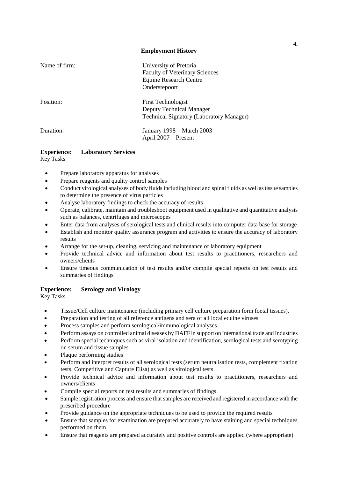#### **Employment History**

| Name of firm: | University of Pretoria<br><b>Faculty of Veterinary Sciences</b><br><b>Equine Research Centre</b><br>Onderstepoort |
|---------------|-------------------------------------------------------------------------------------------------------------------|
| Position:     | <b>First Technologist</b><br><b>Deputy Technical Manager</b><br><b>Technical Signatory (Laboratory Manager)</b>   |
| Duration:     | January 1998 - March 2003<br>April 2007 – Present                                                                 |

### **Experience: Laboratory Services**

Key Tasks

- Prepare laboratory apparatus for analyses
- Prepare reagents and quality control samples
- Conduct virological analyses of body fluids including blood and spinal fluids as well as tissue samples to determine the presence of virus particles
- Analyse laboratory findings to check the accuracy of results
- Operate, calibrate, maintain and troubleshoot equipment used in qualitative and quantitative analysis such as balances, centrifuges and microscopes
- Enter data from analyses of serological tests and clinical results into computer data base for storage
- Establish and monitor quality assurance program and activities to ensure the accuracy of laboratory results
- Arrange for the set-up, cleaning, servicing and maintenance of laboratory equipment
- Provide technical advice and information about test results to practitioners, researchers and owners/clients
- Ensure timeous communication of test results and/or compile special reports on test results and summaries of findings

#### **Experience: Serology and Virology**

Key Tasks

- Tissue/Cell culture maintenance (including primary cell culture preparation form foetal tissues).
- Preparation and testing of all reference antigens and sera of all local equine viruses
- Process samples and perform serological/immunological analyses
- Perform assays on controlled animal diseases by DAFF in support on International trade and Industries
- Perform special techniques such as viral isolation and identification, serological tests and serotyping on serum and tissue samples
- Plaque performing studies
- Perform and interpret results of all serological tests (serum neutralisation tests, complement fixation tests, Competitive and Capture Elisa) as well as virological tests
- Provide technical advice and information about test results to practitioners, researchers and owners/clients
- Compile special reports on test results and summaries of findings
- Sample registration process and ensure that samples are received and registered in accordance with the prescribed procedure
- Provide guidance on the appropriate techniques to be used to provide the required results
- Ensure that samples for examination are prepared accurately to have staining and special techniques performed on them
- Ensure that reagents are prepared accurately and positive controls are applied (where appropriate)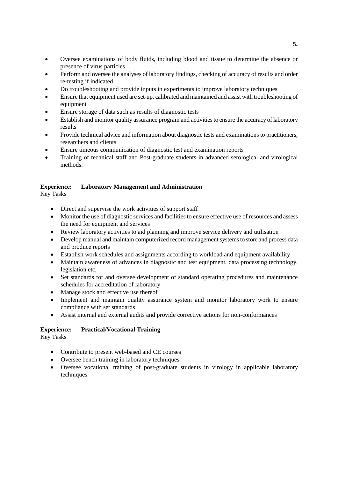- Oversee examinations of body fluids, including blood and tissue to determine the absence or presence of virus particles
- Perform and oversee the analyses of laboratory findings, checking of accuracy of results and order re-testing if indicated
- Do troubleshooting and provide inputs in experiments to improve laboratory techniques
- Ensure that equipment used are set-up, calibrated and maintained and assist with troubleshooting of equipment
- Ensure storage of data such as results of diagnostic tests
- Establish and monitor quality assurance program and activities to ensure the accuracy of laboratory results
- Provide technical advice and information about diagnostic tests and examinations to practitioners, researchers and clients
- Ensure timeous communication of diagnostic test and examination reports
- Training of technical staff and Post-graduate students in advanced serological and virological methods.

### **Experience: Laboratory Management and Administration**

Key Tasks

- Direct and supervise the work activities of support staff
- Monitor the use of diagnostic services and facilities to ensure effective use of resources and assess the need for equipment and services
- Review laboratory activities to aid planning and improve service delivery and utilisation
- Develop manual and maintain computerized record management systems to store and process data and produce reports
- Establish work schedules and assignments according to workload and equipment availability
- Maintain awareness of advances in diagnostic and test equipment, data processing technology, legislation etc,
- Set standards for and oversee development of standard operating procedures and maintenance schedules for accreditation of laboratory
- Manage stock and effective use thereof
- Implement and maintain quality assurance system and monitor laboratory work to ensure compliance with set standards
- Assist internal and external audits and provide corrective actions for non-conformances

### **Experience: Practical/Vocational Training**

Key Tasks

- Contribute to present web-based and CE courses
- Oversee bench training in laboratory techniques
- Oversee vocational training of post-graduate students in virology in applicable laboratory techniques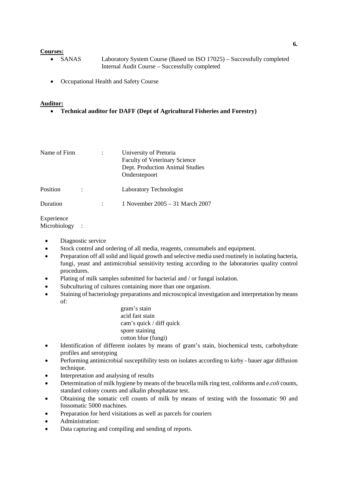#### **Courses:**

- SANAS Laboratory System Course (Based on ISO 17025) Successfully completed Internal Audit Course – Successfully completed
- Occupational Health and Safety Course

#### **Auditor:**

• **Technical auditor for DAFF (Dept of Agricultural Fisheries and Forestry)**

| Name of Firm |  | University of Pretoria<br><b>Faculty of Veterinary Science</b><br>Dept. Production Animal Studies<br>Onderstepoort |
|--------------|--|--------------------------------------------------------------------------------------------------------------------|
| Position     |  | Laboratory Technologist                                                                                            |
| Duration     |  | 1 November 2005 - 31 March 2007                                                                                    |

Experience Microbiology :

- Diagnostic service
- Stock control and ordering of all media, reagents, consumabels and equipment.
- Preparation off all solid and liquid growth and selective media used routinely in isolating bacteria, fungi, yeast and antimicrobial sensitivity testing according to the laboratories quality control procedures.
- Plating of milk samples submitted for bacterial and / or fungal isolation.
- Subculturing of cultures containing more than one organism.
- Staining of bacteriology preparations and microscopical investigation and interpretation by means of:

gram's stain acid fast stain cam's quick / diff quick spore staining cotton blue (fungi)

- Identification of different isolates by means of gram's stain, biochemical tests, carbohydrate profiles and serotyping
- Performing antimicrobial susceptibility tests on isolates according to kirby bauer agar diffusion technique.
- Interpretation and analysing of results
- Determination of milk hygiene by means of the brucella milk ring test, coliforms and *e.coli* counts, standard colony counts and alkalin phosphatase test.
- Obtaining the somatic cell counts of milk by means of testing with the fossomatic 90 and fossomatic 5000 machines.
- Preparation for herd visitations as well as parcels for couriers
- Administration:
- Data capturing and compiling and sending of reports.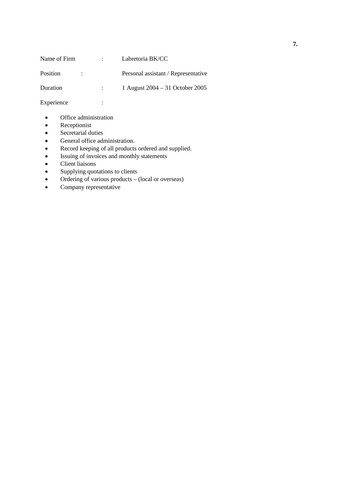| Name of Firm | $\mathbb{R}^n$ | Labretoria BK/CC                    |
|--------------|----------------|-------------------------------------|
| Position     |                | Personal assistant / Representative |
| Duration     |                | 1 August $2004 - 31$ October 2005   |

Experience :

- Office administration
- Receptionist
- Secretarial duties<br>• General office adr
- 
- General office administration.<br>• Record keeping of all products • Record keeping of all products ordered and supplied.<br>• Issuing of invoices and monthly statements
- Issuing of invoices and monthly statements<br>• Client liaisons
- Client liaisons<br>• Supplying quo
- Supplying quotations to clients
- Ordering of various products (local or overseas)
- $\bullet$  Company representative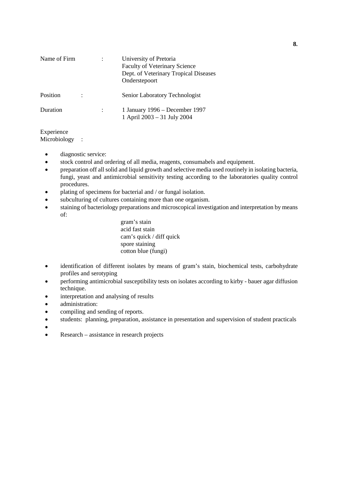| Name of Firm |  | University of Pretoria<br><b>Faculty of Veterinary Science</b><br>Dept. of Veterinary Tropical Diseases<br>Onderstepoort |
|--------------|--|--------------------------------------------------------------------------------------------------------------------------|
| Position     |  | Senior Laboratory Technologist                                                                                           |
| Duration     |  | 1 January 1996 – December 1997<br>1 April 2003 - 31 July 2004                                                            |

### Experience

Microbiology :

- diagnostic service:
- stock control and ordering of all media, reagents, consumabels and equipment.
- preparation off all solid and liquid growth and selective media used routinely in isolating bacteria, fungi, yeast and antimicrobial sensitivity testing according to the laboratories quality control procedures.
- plating of specimens for bacterial and / or fungal isolation.
- subculturing of cultures containing more than one organism.
- staining of bacteriology preparations and microscopical investigation and interpretation by means of:

gram's stain acid fast stain cam's quick / diff quick spore staining cotton blue (fungi)

- identification of different isolates by means of gram's stain, biochemical tests, carbohydrate profiles and serotyping
- performing antimicrobial susceptibility tests on isolates according to kirby bauer agar diffusion technique.
- interpretation and analysing of results
- administration:
- compiling and sending of reports.
- students: planning, preparation, assistance in presentation and supervision of student practicals
- Production of the contract of the contract of the contract of the contract of the contract of the contract of
- Research assistance in research projects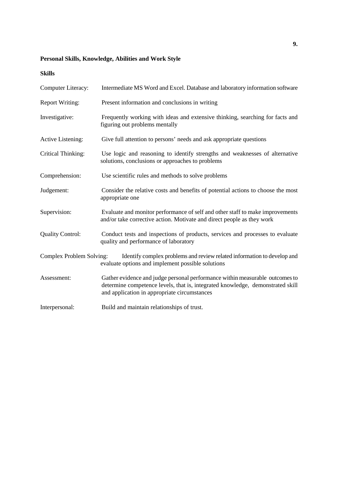## **Personal Skills, Knowledge, Abilities and Work Style**

## **Skills**

| <b>Computer Literacy:</b> | Intermediate MS Word and Excel. Database and laboratory information software                                                                                                                                   |
|---------------------------|----------------------------------------------------------------------------------------------------------------------------------------------------------------------------------------------------------------|
| <b>Report Writing:</b>    | Present information and conclusions in writing                                                                                                                                                                 |
| Investigative:            | Frequently working with ideas and extensive thinking, searching for facts and<br>figuring out problems mentally                                                                                                |
| Active Listening:         | Give full attention to persons' needs and ask appropriate questions                                                                                                                                            |
| <b>Critical Thinking:</b> | Use logic and reasoning to identify strengths and weaknesses of alternative<br>solutions, conclusions or approaches to problems                                                                                |
| Comprehension:            | Use scientific rules and methods to solve problems                                                                                                                                                             |
| Judgement:                | Consider the relative costs and benefits of potential actions to choose the most<br>appropriate one                                                                                                            |
| Supervision:              | Evaluate and monitor performance of self and other staff to make improvements<br>and/or take corrective action. Motivate and direct people as they work                                                        |
| <b>Quality Control:</b>   | Conduct tests and inspections of products, services and processes to evaluate<br>quality and performance of laboratory                                                                                         |
| Complex Problem Solving:  | Identify complex problems and review related information to develop and<br>evaluate options and implement possible solutions                                                                                   |
| Assessment:               | Gather evidence and judge personal performance within measurable outcomes to<br>determine competence levels, that is, integrated knowledge, demonstrated skill<br>and application in appropriate circumstances |
| Interpersonal:            | Build and maintain relationships of trust.                                                                                                                                                                     |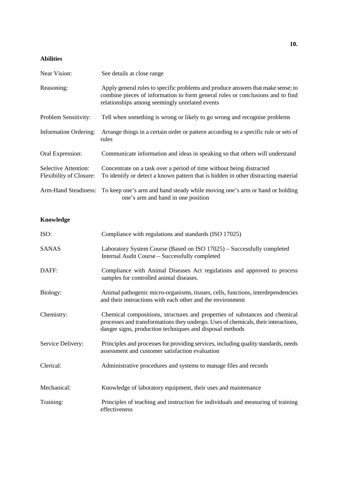## **Abilities**

| Near Vision:                                           | See details at close range                                                                                                                                                                                           |
|--------------------------------------------------------|----------------------------------------------------------------------------------------------------------------------------------------------------------------------------------------------------------------------|
| Reasoning:                                             | Apply general rules to specific problems and produce answers that make sense; to<br>combine pieces of information to form general rules or conclusions and to find<br>relationships among seemingly unrelated events |
| Problem Sensitivity:                                   | Tell when something is wrong or likely to go wrong and recognise problems                                                                                                                                            |
| <b>Information Ordering:</b>                           | Arrange things in a certain order or pattern according to a specific rule or sets of<br>rules                                                                                                                        |
| Oral Expression:                                       | Communicate information and ideas in speaking so that others will understand                                                                                                                                         |
| Selective Attention:<br><b>Flexibility of Closure:</b> | Concentrate on a task over a period of time without being distracted<br>To identify or detect a known pattern that is hidden in other distracting material                                                           |
|                                                        | Arm-Hand Steadiness: To keep one's arm and hand steady while moving one's arm or hand or holding<br>one's arm and hand in one position                                                                               |

## **Knowledge**

| ISO:              | Compliance with regulations and standards (ISO 17025)                                                                                                                                                                         |
|-------------------|-------------------------------------------------------------------------------------------------------------------------------------------------------------------------------------------------------------------------------|
| <b>SANAS</b>      | Laboratory System Course (Based on ISO 17025) – Successfully completed<br>Internal Audit Course - Successfully completed                                                                                                      |
| DAFF:             | Compliance with Animal Diseases Act regulations and approved to process<br>samples for controlled animal diseases.                                                                                                            |
| Biology:          | Animal pathogenic micro-organisms, tissues, cells, functions, interdependencies<br>and their interactions with each other and the environment                                                                                 |
| Chemistry:        | Chemical compositions, structures and properties of substances and chemical<br>processes and transformations they undergo. Uses of chemicals, their interactions,<br>danger signs, production techniques and disposal methods |
| Service Delivery: | Principles and processes for providing services, including quality standards, needs<br>assessment and customer satisfaction evaluation                                                                                        |
| Clerical:         | Administrative procedures and systems to manage files and records                                                                                                                                                             |
| Mechanical:       | Knowledge of laboratory equipment, their uses and maintenance                                                                                                                                                                 |
| Training:         | Principles of teaching and instruction for individuals and measuring of training<br>effectiveness                                                                                                                             |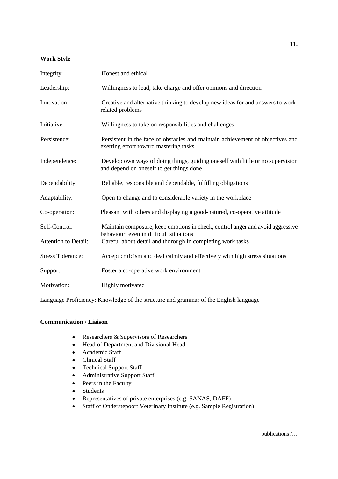#### **Work Style**

| Integrity:               | Honest and ethical                                                                                                          |
|--------------------------|-----------------------------------------------------------------------------------------------------------------------------|
| Leadership:              | Willingness to lead, take charge and offer opinions and direction                                                           |
| Innovation:              | Creative and alternative thinking to develop new ideas for and answers to work-<br>related problems                         |
| Initiative:              | Willingness to take on responsibilities and challenges                                                                      |
| Persistence:             | Persistent in the face of obstacles and maintain achievement of objectives and<br>exerting effort toward mastering tasks    |
| Independence:            | Develop own ways of doing things, guiding oneself with little or no supervision<br>and depend on oneself to get things done |
| Dependability:           | Reliable, responsible and dependable, fulfilling obligations                                                                |
| Adaptability:            | Open to change and to considerable variety in the workplace                                                                 |
| Co-operation:            | Pleasant with others and displaying a good-natured, co-operative attitude                                                   |
| Self-Control:            | Maintain composure, keep emotions in check, control anger and avoid aggressive<br>behaviour, even in difficult situations   |
| Attention to Detail:     | Careful about detail and thorough in completing work tasks                                                                  |
| <b>Stress Tolerance:</b> | Accept criticism and deal calmly and effectively with high stress situations                                                |
| Support:                 | Foster a co-operative work environment                                                                                      |
| Motivation:              | Highly motivated                                                                                                            |

Language Proficiency: Knowledge of the structure and grammar of the English language

### **Communication / Liaison**

- Researchers & Supervisors of Researchers
- Head of Department and Divisional Head
- Academic Staff
- Clinical Staff
- Technical Support Staff
- Administrative Support Staff
- Peers in the Faculty
- Students
- Representatives of private enterprises (e.g. SANAS, DAFF)
- Staff of Onderstepoort Veterinary Institute (e.g. Sample Registration)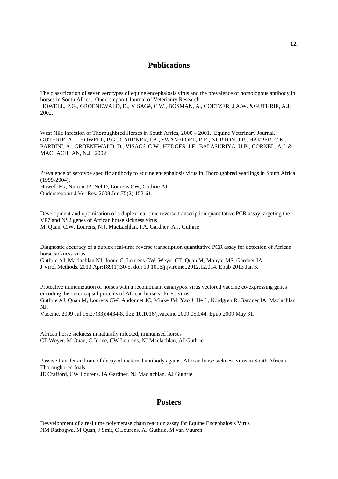## **Publications**

The classification of seven serotypes of equine encephalosis virus and the prevalence of homologous antibody in horses in South Africa. Onderstepoort Journal of Veterianry Research. HOWELL, P.G., GROENEWALD, D., VISAGé, C.W., BOSMAN, A., COETZER, J.A.W. &GUTHRIE, A.J. 2002.

West Nile Infection of Thoroughbred Horses in South Africa,  $2000 - 2001$ . Equine Veterinary Journal. GUTHRIE, A.J., HOWELL, P.G., GARDNER, I.A., SWANEPOEL, R.E., NURTON, J.P., HARPER, C.K., PARDINI, A., GROENEWALD, D., VISAGé, C.W., HEDGES, J.F., BALASURIYA, U.B., CORNEL, A.J. & MACLACHLAN, N.J. 2002

Prevalence of serotype specific antibody to equine encephalosis virus in Thoroughbred yearlings in South Africa (1999-2004).

Howell PG, Nurton JP, Nel D, Lourens CW, Guthrie AJ. Onderstepoort J Vet Res. 2008 Jun;75(2):153-61.

Development and optimisation of a duplex real-time reverse transcription quantitative PCR assay targeting the VP7 and NS2 genes of African horse sickness virus M. Quan, C.W. Lourens, N.J. MacLachlan, I.A. Gardner, A.J. Guthrie

Diagnostic accuracy of a duplex real-time reverse transcription quantitative PCR assay for detection of African horse sickness virus.

Guthrie AJ, Maclachlan NJ, Joone C, Lourens CW, Weyer CT, Quan M, Monyai MS, Gardner IA. J Virol Methods. 2013 Apr;189(1):30-5. doi: 10.1016/j.jviromet.2012.12.014. Epub 2013 Jan 3.

Protective immunization of horses with a recombinant canarypox virus vectored vaccine co-expressing genes encoding the outer capsid proteins of African horse sickness virus. Guthrie AJ, Quan M, Lourens CW, Audonnet JC, Minke JM, Yao J, He L, Nordgren R, Gardner IA, Maclachlan NJ.

Vaccine. 2009 Jul 16;27(33):4434-8. doi: 10.1016/j.vaccine.2009.05.044. Epub 2009 May 31.

African horse sickness in naturally infected, immunised horses CT Weyer, M Quan, C Joone, CW Lourens, NJ Maclachlan, AJ Guthrie

Passive transfer and rate of decay of maternal antibody against African horse sickness virus in South African Thoroughbred foals. JE Crafford, CW Lourens, IA Gardner, NJ Maclachlan, AJ Guthrie

## **Posters**

Devvelopment of a real time polymerase chain reaction assay for Equine Encephalosis Virus NM Rathogwa, M Quan, J Smit, C Lourens, AJ Guthrie, M van Vuuren